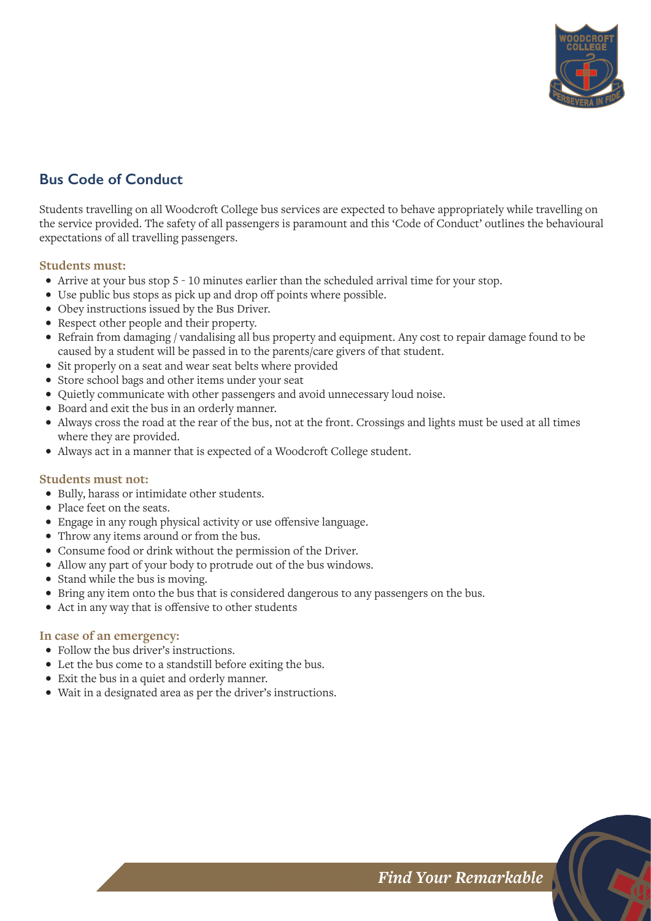

# **Bus Code of Conduct**

Students travelling on all Woodcroft College bus services are expected to behave appropriately while travelling on the service provided. The safety of all passengers is paramount and this 'Code of Conduct' outlines the behavioural expectations of all travelling passengers.

### **Students must:**

- Arrive at your bus stop 5 10 minutes earlier than the scheduled arrival time for your stop.
- Use public bus stops as pick up and drop off points where possible.
- Obey instructions issued by the Bus Driver.
- Respect other people and their property.
- Refrain from damaging / vandalising all bus property and equipment. Any cost to repair damage found to be caused by a student will be passed in to the parents/care givers of that student.
- Sit properly on a seat and wear seat belts where provided
- Store school bags and other items under your seat
- Quietly communicate with other passengers and avoid unnecessary loud noise.
- Board and exit the bus in an orderly manner.
- Always cross the road at the rear of the bus, not at the front. Crossings and lights must be used at all times where they are provided.
- Always act in a manner that is expected of a Woodcroft College student.

#### **Students must not:**

- Bully, harass or intimidate other students.
- Place feet on the seats.
- Engage in any rough physical activity or use offensive language.
- Throw any items around or from the bus.
- Consume food or drink without the permission of the Driver.
- Allow any part of your body to protrude out of the bus windows.
- Stand while the bus is moving.
- Bring any item onto the bus that is considered dangerous to any passengers on the bus.
- Act in any way that is offensive to other students

#### **In case of an emergency:**

- Follow the bus driver's instructions.
- Let the bus come to a standstill before exiting the bus.
- Exit the bus in a quiet and orderly manner.
- Wait in a designated area as per the driver's instructions.

**Find Your Remarkable**